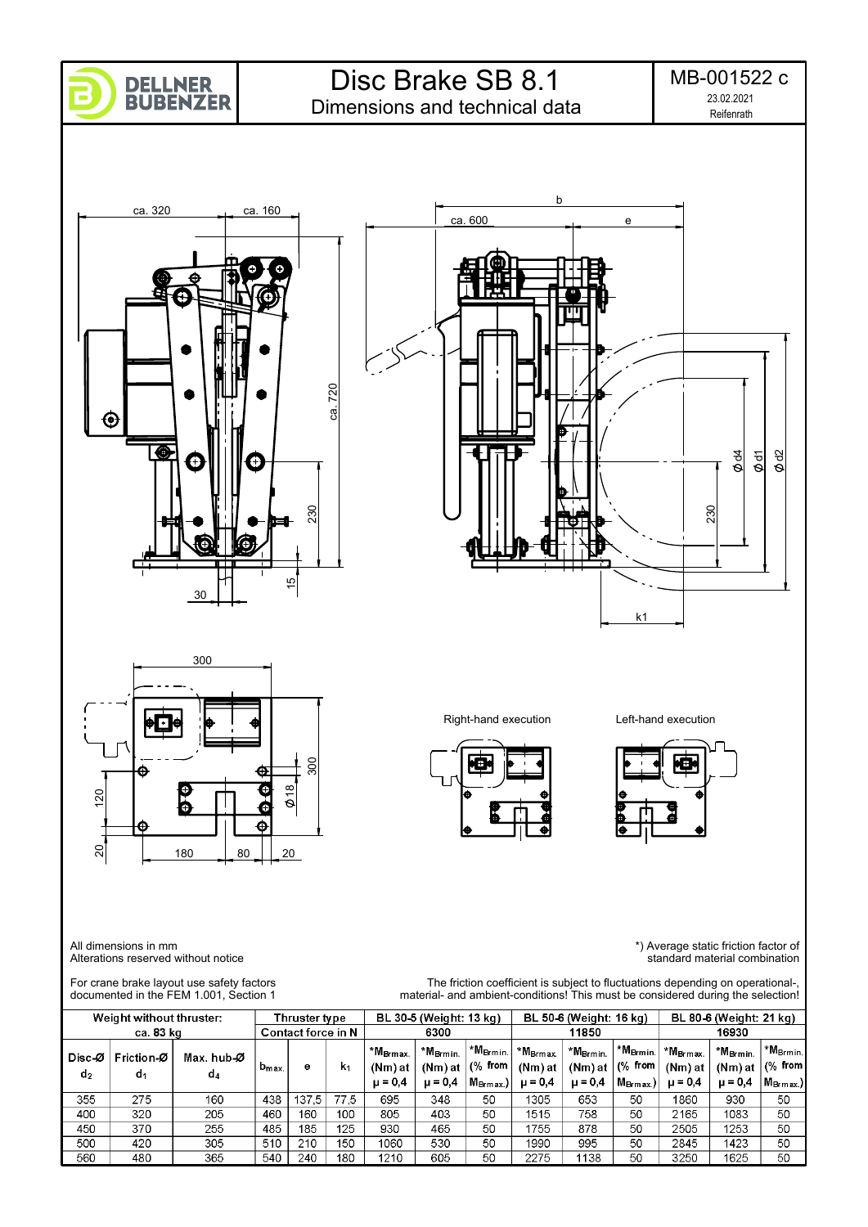

Dimensions and technical data



180 80 20

300

18

Ġ

Ó  $\hat{\mathbf{\Theta}}$ 





k1



The friction coefficient is subject to fluctuations depending on operational-,

All dimensions in mm Alterations reserved without notice

Θ

Г<br>b

20 120

20

 $120$ 

\*) Average static friction factor of standard material combination

For crane brake layout use safety factors documented in the FEM 1.001, Section 1

|                                           |                  | documented in the FEM 1.001. Section 1 |                    |                         | material- and ambient-conditions! This must be considered during the selection! |                                     |                                                                             |                                      |                                   |                                                                         |                      |                                |                                       |                                         |
|-------------------------------------------|------------------|----------------------------------------|--------------------|-------------------------|---------------------------------------------------------------------------------|-------------------------------------|-----------------------------------------------------------------------------|--------------------------------------|-----------------------------------|-------------------------------------------------------------------------|----------------------|--------------------------------|---------------------------------------|-----------------------------------------|
| Weight without thruster:<br>Thruster type |                  |                                        |                    | BL 30-5 (Weight: 13 kg) |                                                                                 |                                     | BL 50-6 (Weight: 16 kg)                                                     |                                      |                                   | BL 80-6 (Weight: 21 kg)                                                 |                      |                                |                                       |                                         |
| ca. 83 kg                                 |                  |                                        | Contact force in N |                         |                                                                                 | 6300                                |                                                                             |                                      | 11850                             |                                                                         |                      | 16930                          |                                       |                                         |
| Disc-Ø<br>d <sub>2</sub>                  | Friction-Ø<br>d. | Max. hub-Ø<br>d4                       | $b_{\text{max}}$   | е                       | k <sub>1</sub>                                                                  | $*MBrmax$<br>(Nm) at<br>$\mu = 0.4$ | *M <sub>Brmin.</sub><br>(Nm) at $\sqrt{(26.5 \text{ from})}$<br>$\mu = 0.4$ | $\vert$ *M <sub>Brmin.</sub> $\vert$ | $*MBrm$<br>(Nm) at<br>$\mu = 0.4$ | $+$ *M <sub>Brmin.</sub> $+$<br>$(Nm)$ at $ (%$ from $ $<br>$\mu = 0.4$ | *M <sub>Brmin.</sub> | *M <sub>Brmax</sub><br>(Nm) at | *M <sub>Brmin.</sub><br>$(Nm)$ at $ $ | *M <sub>Brmin</sub><br>$ \sqrt{6}$ from |
|                                           |                  |                                        |                    |                         |                                                                                 |                                     |                                                                             | $M_{\rm Brmax.}$                     |                                   |                                                                         | $M_{\rm Brmax}$ )    | $\mu = 0.4$                    | $\mu = 0.4$                           | $ M_{\rm Brmax.}\rangle$                |
| 355                                       | 275              | 160                                    | 438                | 137.5                   | 77.5                                                                            | 695                                 | 348                                                                         | 50                                   | 1305                              | 653                                                                     | 50                   | 1860                           | 930                                   | 50                                      |
| 400                                       | 320              | 205                                    | 460                | 160                     | 100                                                                             | 805                                 | 403                                                                         | 50                                   | 1515                              | 758                                                                     | 50                   | 2165                           | 1083                                  | 50                                      |
| 450                                       | 370              | 255                                    | 485                | 185                     | 125                                                                             | 930                                 | 465                                                                         | 50                                   | 1755                              | 878                                                                     | 50                   | 2505                           | 1253                                  | 50                                      |
| 500                                       | 420              | 305                                    | 510                | 210                     | 150                                                                             | 1060                                | 530                                                                         | 50                                   | 1990                              | 995                                                                     | 50                   | 2845                           | 1423                                  | 50                                      |
| 560                                       | 480              | 365                                    | 540                | 240                     | 180                                                                             | 1210                                | 605                                                                         | 50                                   | 2275                              | 1138                                                                    | 50                   | 3250                           | 1625                                  | 50                                      |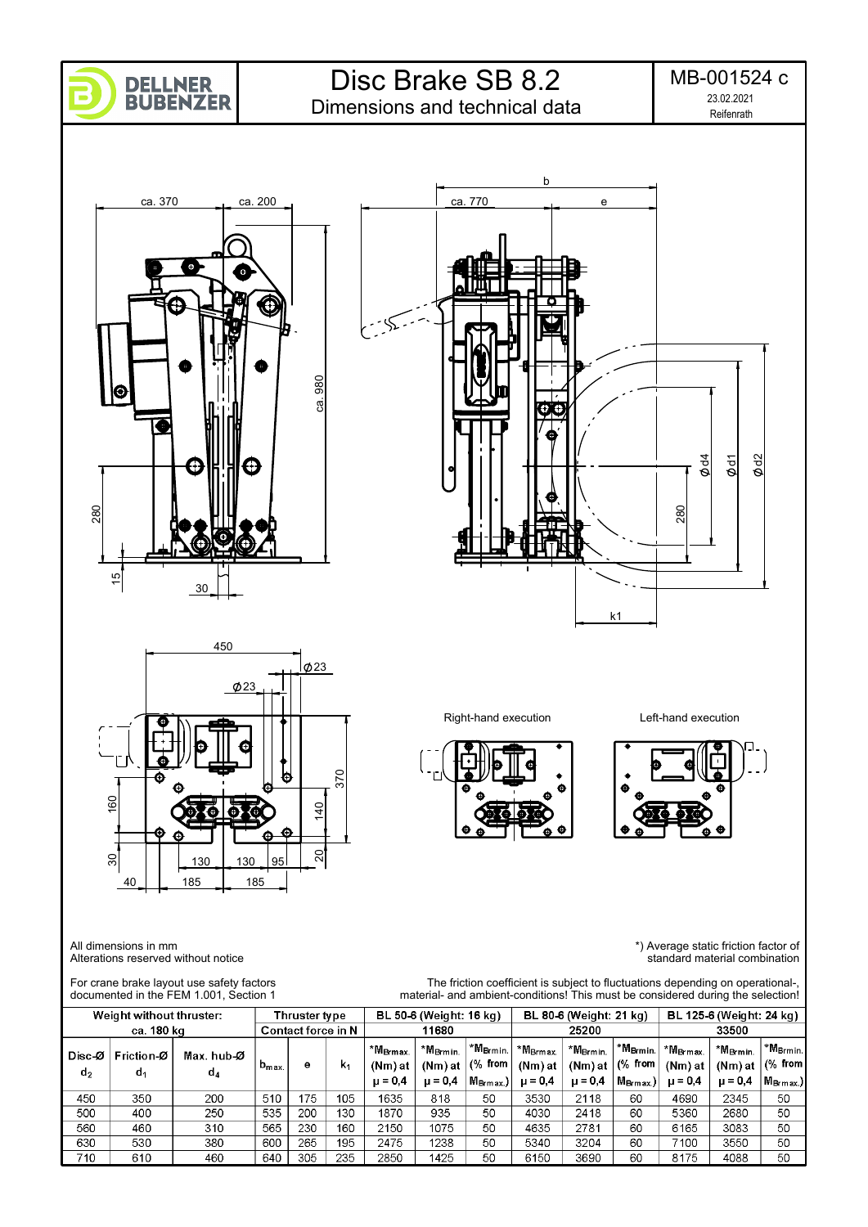

Dimensions and technical data











 370 k 30 160 60 20 | 140  $\frac{40}{1}$  $\mathcal{S}$  $\overline{30}$ 130 95 40 185 185

All dimensions in mm Alterations reserved without notice

 $\overline{610}$ 

460

640

 $305$ 

 $235$ 

2850

 $\overline{710}$ 

\*) Average static friction factor of standard material combination

\*M<sub>Brmin</sub>

 $(%$  from

M<sub>Brmax.</sub>)

 $50$ 

 $\overline{50}$ 

 $50$ 

 $\overline{50}$ 

 $\overline{50}$ 

4088

For crane brake layout use safety factors The friction coefficient is subject to fluctuations depending on operational-, documented in the FEM 1.001, Section 1 material- and ambient-conditions! This must be considered during the selection! Weight without thruster: Thruster type BL 50-6 (Weight: 16 kg) BL 80-6 (Weight: 21 kg) BL 125-6 (Weight: 24 kg) ca. 180 kg Contact force in N 11680 25200 33500 \*M<sub>Brmin.</sub> \*M<sub>Brmin</sub> \*M<sub>Brmin</sub> \*M<sub>Brmax</sub>  $*M_{Brmin.}$ \*M<sub>Brmin</sub> \*M<sub>Brmax</sub> \*M<sub>Brmax</sub> Disc-Ø Friction-Ø Max. hub-Ø  $(%$  from  $(%$  from  $b_{max}$  $k_1$ (Nm) at (Nm) at (Nm) at (Nm) at (Nm) at (Nm) at e  $d<sub>2</sub>$  $d<sub>1</sub>$  $d_4$  $\mu = 0.4$  $\mu = 0.4$  $M_{\rm Brmax}$ )  $\mu = 0.4$  $M_{\rm Brmax.}$  $\mu = 0.4$  $\mu = 0.4$  $\mu = 0.4$ 1635 450  $350$  $\overline{200}$  $510$  $175$  $105$ 818  $50$ 3530 2118 60 4690 2345 500 400  $\frac{250}{ }$  $535$  $\overline{200}$ 130 1870 935  $\overline{50}$ 4030  $\frac{1}{2418}$  $\overline{60}$ 5360 2680 560 460  $310$ 565 230 160 2150 1075  $50$ 4635 2781 60 6165 3083  $\frac{1}{2475}$  $\overline{50}$ 630 530 380 600 265 195 1238 5340 3204 60 7100 3550

 $1425$ 

 $\overline{50}$ 

 $6150$ 

3690

60

 $8175$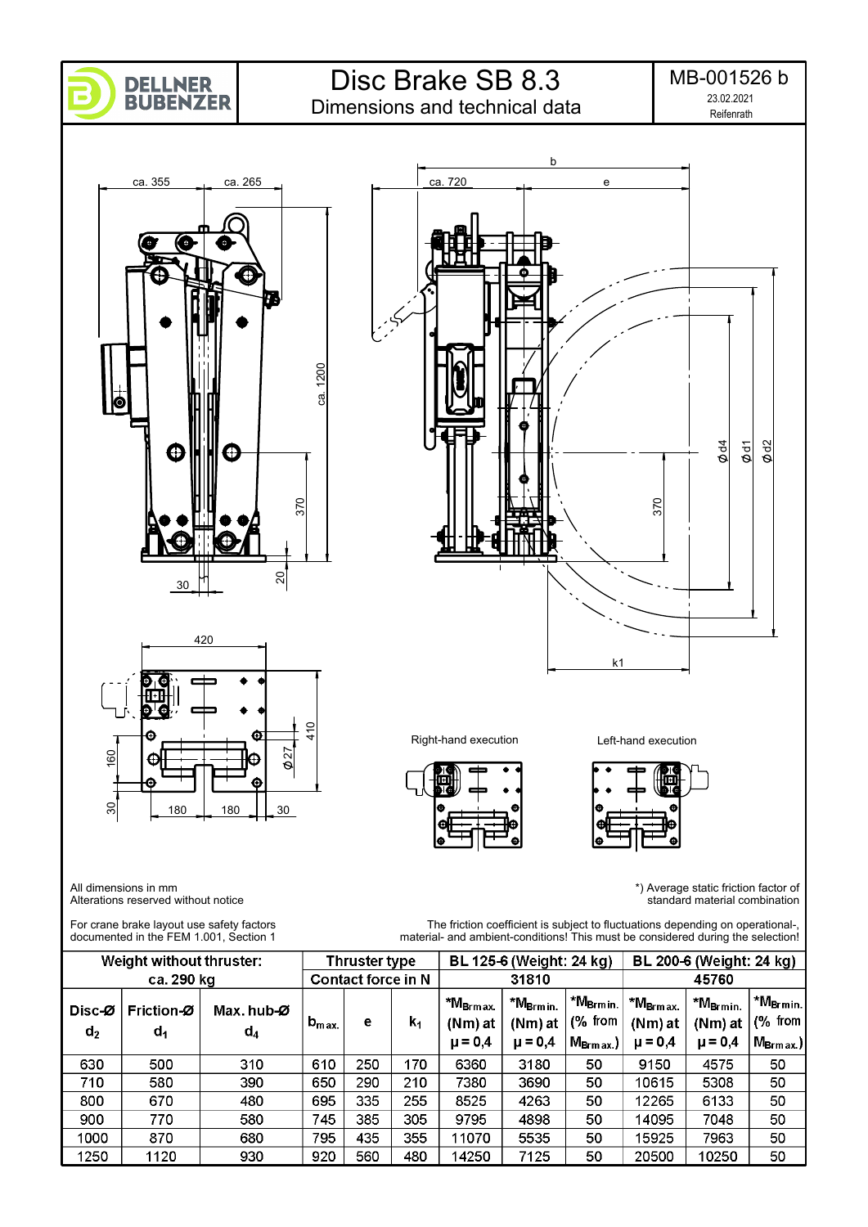

Dimensions and technical data

Reifenrath MB-001526 b 23.02.2021



For crane brake layout use safety factors documented in the FEM 1.001, Section 1

The friction coefficient is subject to fluctuations depending on operational-, material- and ambient-conditions! This must be considered during the selection!

|                 | Weight without thruster: |                     |                           | Thruster type |                |                                 | BL 125-6 (Weight: 24 kg)        |                                     | BL 200-6 (Weight: 24 kg)           |                                |                                   |  |
|-----------------|--------------------------|---------------------|---------------------------|---------------|----------------|---------------------------------|---------------------------------|-------------------------------------|------------------------------------|--------------------------------|-----------------------------------|--|
|                 | ca. 290 kg               |                     | <b>Contact force in N</b> |               |                |                                 | 31810                           |                                     | 45760                              |                                |                                   |  |
| Disc-Ø<br>$d_2$ | Friction-Ø<br>$d_1$      | Max. hub-Ø<br>$d_4$ | $b_{\rm max.}$            | е             | $\mathsf{k}_1$ | *M <sub>Brmax.</sub><br>(Nm) at | *M <sub>Brmin.</sub><br>(Nm) at | $+$ *M <sub>Brmin.</sub><br>(% from | ⊤ *M <sub>Brm ax.</sub><br>(Nm) at | *M <sub>Brmin</sub><br>(Nm) at | I *M <sub>Brmin.</sub><br>(% from |  |
|                 |                          |                     |                           |               |                | $\mu = 0.4$                     | $\mu = 0,4$                     | $M_{\rm Brm\,ax.}$                  | $\mu = 0,4$                        | $\mu = 0,4$                    | $M_{\rm Brm\,ax.})$               |  |
| 630             | 500                      | 310                 | 610                       | 250           | 170            | 6360                            | 3180                            | 50                                  | 9150                               | 4575                           | 50                                |  |
| 710             | 580                      | 390                 | 650                       | 290           | 210            | 7380                            | 3690                            | 50                                  | 10615                              | 5308                           | 50                                |  |
| 800             | 670                      | 480                 | 695                       | 335           | 255            | 8525                            | 4263                            | 50                                  | 12265                              | 6133                           | 50                                |  |
| 900             | 770                      | 580                 | 745                       | 385           | 305            | 9795                            | 4898                            | 50                                  | 14095                              | 7048                           | 50                                |  |
| 1000            | 870                      | 680                 | 795                       | 435           | 355            | 11070                           | 5535                            | 50                                  | 15925                              | 7963                           | 50                                |  |
| 1250            | 1120                     | 930                 | 920                       | 560           | 480            | 14250                           | 7125                            | 50                                  | 20500                              | 10250                          | 50                                |  |